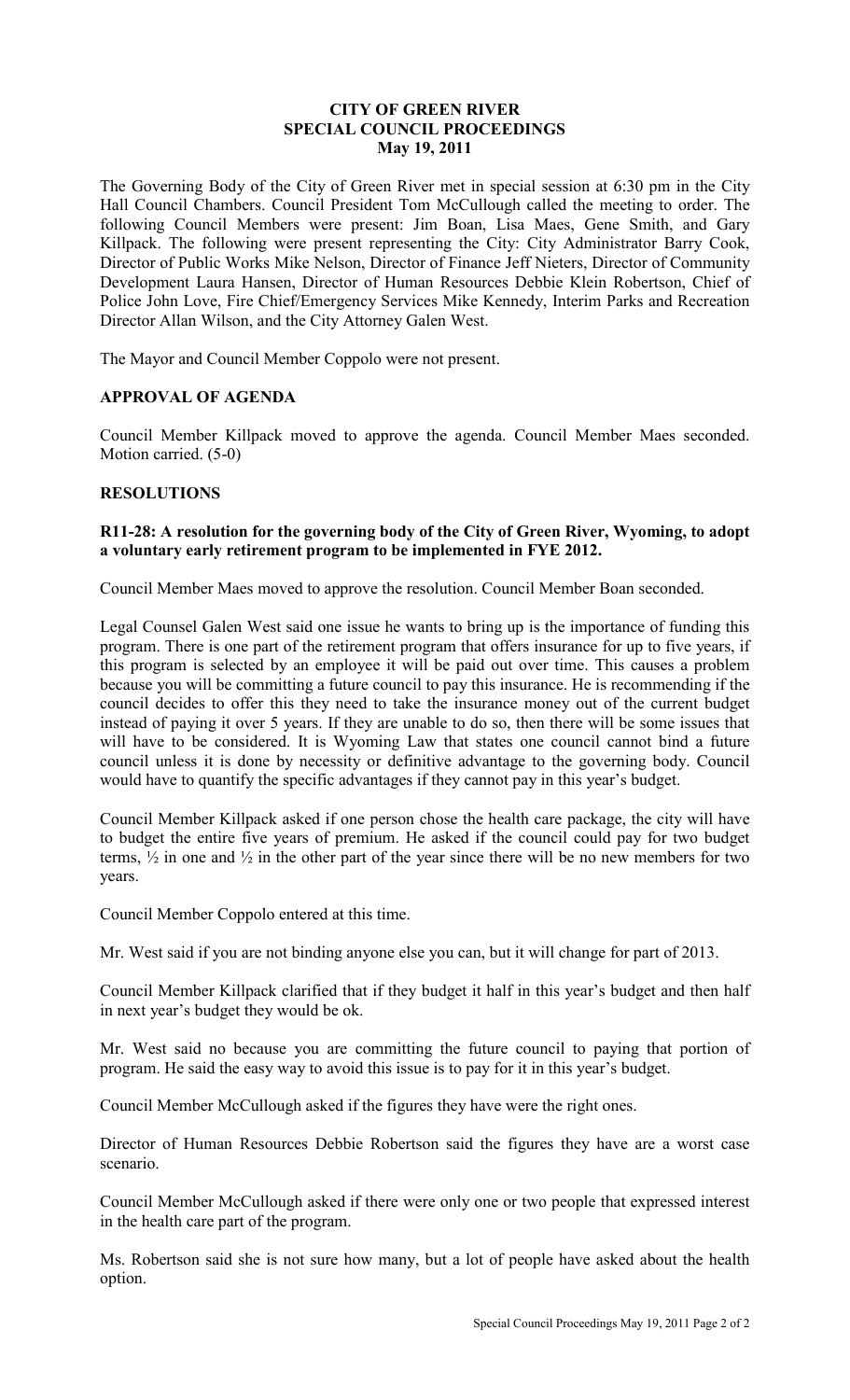### **CITY OF GREEN RIVER SPECIAL COUNCIL PROCEEDINGS May 19, 2011**

The Governing Body of the City of Green River met in special session at 6:30 pm in the City Hall Council Chambers. Council President Tom McCullough called the meeting to order. The following Council Members were present: Jim Boan, Lisa Maes, Gene Smith, and Gary Killpack. The following were present representing the City: City Administrator Barry Cook, Director of Public Works Mike Nelson, Director of Finance Jeff Nieters, Director of Community Development Laura Hansen, Director of Human Resources Debbie Klein Robertson, Chief of Police John Love, Fire Chief/Emergency Services Mike Kennedy, Interim Parks and Recreation Director Allan Wilson, and the City Attorney Galen West.

The Mayor and Council Member Coppolo were not present.

# **APPROVAL OF AGENDA**

Council Member Killpack moved to approve the agenda. Council Member Maes seconded. Motion carried. (5-0)

### **RESOLUTIONS**

### **R11-28: A resolution for the governing body of the City of Green River, Wyoming, to adopt a voluntary early retirement program to be implemented in FYE 2012.**

Council Member Maes moved to approve the resolution. Council Member Boan seconded.

Legal Counsel Galen West said one issue he wants to bring up is the importance of funding this program. There is one part of the retirement program that offers insurance for up to five years, if this program is selected by an employee it will be paid out over time. This causes a problem because you will be committing a future council to pay this insurance. He is recommending if the council decides to offer this they need to take the insurance money out of the current budget instead of paying it over 5 years. If they are unable to do so, then there will be some issues that will have to be considered. It is Wyoming Law that states one council cannot bind a future council unless it is done by necessity or definitive advantage to the governing body. Council would have to quantify the specific advantages if they cannot pay in this year's budget.

Council Member Killpack asked if one person chose the health care package, the city will have to budget the entire five years of premium. He asked if the council could pay for two budget terms,  $\frac{1}{2}$  in one and  $\frac{1}{2}$  in the other part of the year since there will be no new members for two years.

Council Member Coppolo entered at this time.

Mr. West said if you are not binding anyone else you can, but it will change for part of 2013.

Council Member Killpack clarified that if they budget it half in this year's budget and then half in next year's budget they would be ok.

Mr. West said no because you are committing the future council to paying that portion of program. He said the easy way to avoid this issue is to pay for it in this year's budget.

Council Member McCullough asked if the figures they have were the right ones.

Director of Human Resources Debbie Robertson said the figures they have are a worst case scenario.

Council Member McCullough asked if there were only one or two people that expressed interest in the health care part of the program.

Ms. Robertson said she is not sure how many, but a lot of people have asked about the health option.